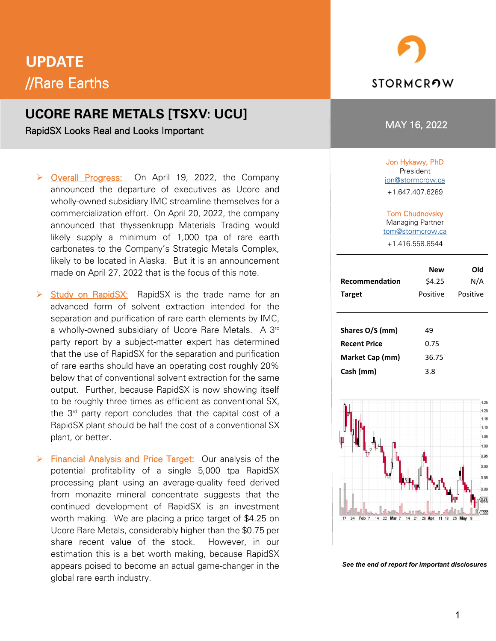# **UPDATE** //Rare Earths

## **UCORE RARE METALS [TSXV: UCU]**

RapidSX Looks Real and Looks Important

- P Overall Progress: On April 19, 2022, the Company announced the departure of executives as Ucore and wholly-owned subsidiary IMC streamline themselves for a commercialization effort. On April 20, 2022, the company announced that thyssenkrupp Materials Trading would likely supply a minimum of 1,000 tpa of rare earth carbonates to the Company's Strategic Metals Complex, likely to be located in Alaska. But it is an announcement made on April 27, 2022 that is the focus of this note.
- $\triangleright$  Study on RapidSX: RapidSX is the trade name for an advanced form of solvent extraction intended for the separation and purification of rare earth elements by IMC, a wholly-owned subsidiary of Ucore Rare Metals. A 3rd party report by a subject-matter expert has determined that the use of RapidSX for the separation and purification of rare earths should have an operating cost roughly 20% below that of conventional solvent extraction for the same output. Further, because RapidSX is now showing itself to be roughly three times as efficient as conventional SX, the 3rd party report concludes that the capital cost of a RapidSX plant should be half the cost of a conventional SX plant, or better.
- $\triangleright$  Financial Analysis and Price Target: Our analysis of the potential profitability of a single 5,000 tpa RapidSX processing plant using an average-quality feed derived from monazite mineral concentrate suggests that the continued development of RapidSX is an investment worth making. We are placing a price target of \$4.25 on Ucore Rare Metals, considerably higher than the \$0.75 per share recent value of the stock. However, in our estimation this is a bet worth making, because RapidSX appears poised to become an actual game-changer in the global rare earth industry.



#### MAY 16, 2022

#### Jon Hykawy, PhD

President ion@stormcrow.ca +1.647.407.6289

#### Tom Chudnovsky

Managing Partner [tom@stormcrow.ca](mailto:tom@stormcrow.ca)

+1.416.558.8544

| <b>Recommendation</b><br><b>Target</b>                                 | <b>New</b><br>\$4.25<br>Positive | Old<br>N/A<br>Positive |
|------------------------------------------------------------------------|----------------------------------|------------------------|
| Shares O/S (mm)<br><b>Recent Price</b><br>Market Cap (mm)<br>Cash (mm) | 49<br>0.75<br>36.75<br>3.8       |                        |



*See the end of report for important disclosures*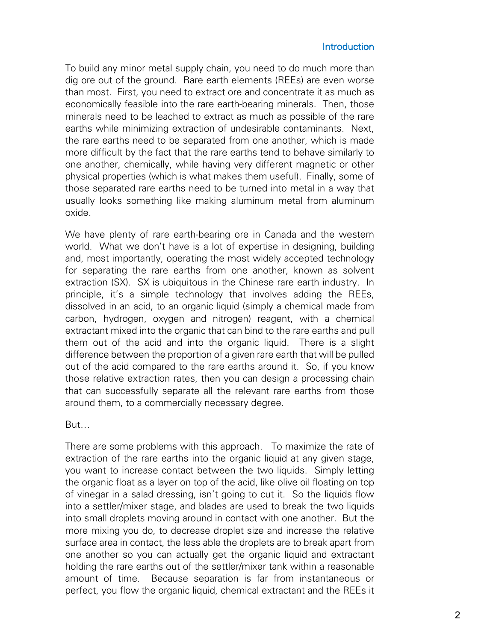#### **Introduction**

To build any minor metal supply chain, you need to do much more than dig ore out of the ground. Rare earth elements (REEs) are even worse than most. First, you need to extract ore and concentrate it as much as economically feasible into the rare earth-bearing minerals. Then, those minerals need to be leached to extract as much as possible of the rare earths while minimizing extraction of undesirable contaminants. Next, the rare earths need to be separated from one another, which is made more difficult by the fact that the rare earths tend to behave similarly to one another, chemically, while having very different magnetic or other physical properties (which is what makes them useful). Finally, some of those separated rare earths need to be turned into metal in a way that usually looks something like making aluminum metal from aluminum oxide.

We have plenty of rare earth-bearing ore in Canada and the western world. What we don't have is a lot of expertise in designing, building and, most importantly, operating the most widely accepted technology for separating the rare earths from one another, known as solvent extraction (SX). SX is ubiquitous in the Chinese rare earth industry. In principle, it's a simple technology that involves adding the REEs, dissolved in an acid, to an organic liquid (simply a chemical made from carbon, hydrogen, oxygen and nitrogen) reagent, with a chemical extractant mixed into the organic that can bind to the rare earths and pull them out of the acid and into the organic liquid. There is a slight difference between the proportion of a given rare earth that will be pulled out of the acid compared to the rare earths around it. So, if you know those relative extraction rates, then you can design a processing chain that can successfully separate all the relevant rare earths from those around them, to a commercially necessary degree.

But…

There are some problems with this approach. To maximize the rate of extraction of the rare earths into the organic liquid at any given stage, you want to increase contact between the two liquids. Simply letting the organic float as a layer on top of the acid, like olive oil floating on top of vinegar in a salad dressing, isn't going to cut it. So the liquids flow into a settler/mixer stage, and blades are used to break the two liquids into small droplets moving around in contact with one another. But the more mixing you do, to decrease droplet size and increase the relative surface area in contact, the less able the droplets are to break apart from one another so you can actually get the organic liquid and extractant holding the rare earths out of the settler/mixer tank within a reasonable amount of time. Because separation is far from instantaneous or perfect, you flow the organic liquid, chemical extractant and the REEs it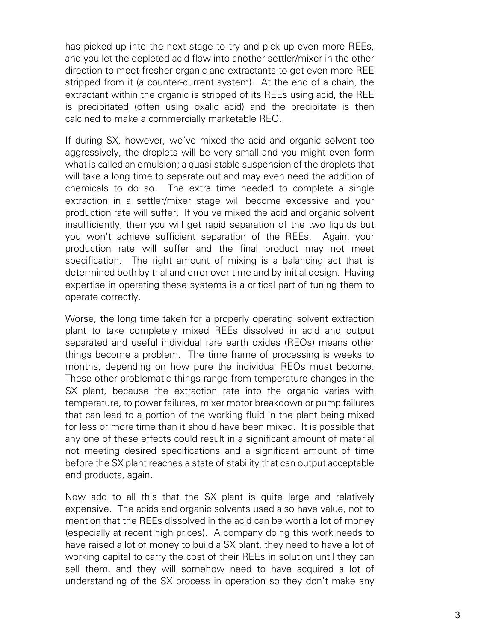has picked up into the next stage to try and pick up even more REEs, and you let the depleted acid flow into another settler/mixer in the other direction to meet fresher organic and extractants to get even more REE stripped from it (a counter-current system). At the end of a chain, the extractant within the organic is stripped of its REEs using acid, the REE is precipitated (often using oxalic acid) and the precipitate is then calcined to make a commercially marketable REO.

If during SX, however, we've mixed the acid and organic solvent too aggressively, the droplets will be very small and you might even form what is called an emulsion; a quasi-stable suspension of the droplets that will take a long time to separate out and may even need the addition of chemicals to do so. The extra time needed to complete a single extraction in a settler/mixer stage will become excessive and your production rate will suffer. If you've mixed the acid and organic solvent insufficiently, then you will get rapid separation of the two liquids but you won't achieve sufficient separation of the REEs. Again, your production rate will suffer and the final product may not meet specification. The right amount of mixing is a balancing act that is determined both by trial and error over time and by initial design. Having expertise in operating these systems is a critical part of tuning them to operate correctly.

Worse, the long time taken for a properly operating solvent extraction plant to take completely mixed REEs dissolved in acid and output separated and useful individual rare earth oxides (REOs) means other things become a problem. The time frame of processing is weeks to months, depending on how pure the individual REOs must become. These other problematic things range from temperature changes in the SX plant, because the extraction rate into the organic varies with temperature, to power failures, mixer motor breakdown or pump failures that can lead to a portion of the working fluid in the plant being mixed for less or more time than it should have been mixed. It is possible that any one of these effects could result in a significant amount of material not meeting desired specifications and a significant amount of time before the SX plant reaches a state of stability that can output acceptable end products, again.

Now add to all this that the SX plant is quite large and relatively expensive. The acids and organic solvents used also have value, not to mention that the REEs dissolved in the acid can be worth a lot of money (especially at recent high prices). A company doing this work needs to have raised a lot of money to build a SX plant, they need to have a lot of working capital to carry the cost of their REEs in solution until they can sell them, and they will somehow need to have acquired a lot of understanding of the SX process in operation so they don't make any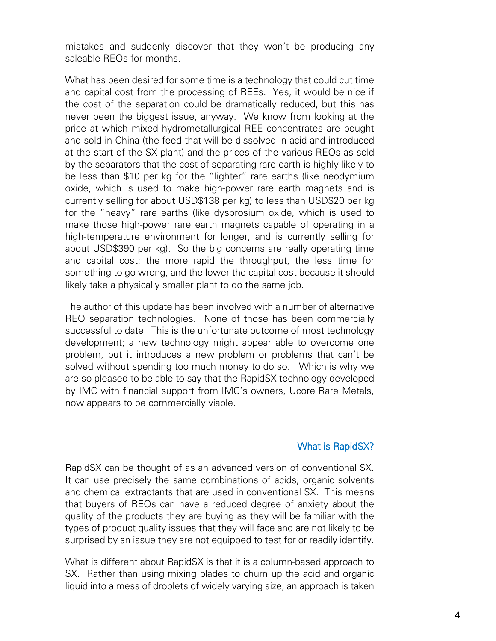mistakes and suddenly discover that they won't be producing any saleable REOs for months.

What has been desired for some time is a technology that could cut time and capital cost from the processing of REEs. Yes, it would be nice if the cost of the separation could be dramatically reduced, but this has never been the biggest issue, anyway. We know from looking at the price at which mixed hydrometallurgical REE concentrates are bought and sold in China (the feed that will be dissolved in acid and introduced at the start of the SX plant) and the prices of the various REOs as sold by the separators that the cost of separating rare earth is highly likely to be less than \$10 per kg for the "lighter" rare earths (like neodymium oxide, which is used to make high-power rare earth magnets and is currently selling for about USD\$138 per kg) to less than USD\$20 per kg for the "heavy" rare earths (like dysprosium oxide, which is used to make those high-power rare earth magnets capable of operating in a high-temperature environment for longer, and is currently selling for about USD\$390 per kg). So the big concerns are really operating time and capital cost; the more rapid the throughput, the less time for something to go wrong, and the lower the capital cost because it should likely take a physically smaller plant to do the same job.

The author of this update has been involved with a number of alternative REO separation technologies. None of those has been commercially successful to date. This is the unfortunate outcome of most technology development; a new technology might appear able to overcome one problem, but it introduces a new problem or problems that can't be solved without spending too much money to do so. Which is why we are so pleased to be able to say that the RapidSX technology developed by IMC with financial support from IMC's owners, Ucore Rare Metals, now appears to be commercially viable.

### What is RapidSX?

RapidSX can be thought of as an advanced version of conventional SX. It can use precisely the same combinations of acids, organic solvents and chemical extractants that are used in conventional SX. This means that buyers of REOs can have a reduced degree of anxiety about the quality of the products they are buying as they will be familiar with the types of product quality issues that they will face and are not likely to be surprised by an issue they are not equipped to test for or readily identify.

What is different about RapidSX is that it is a column-based approach to SX. Rather than using mixing blades to churn up the acid and organic liquid into a mess of droplets of widely varying size, an approach is taken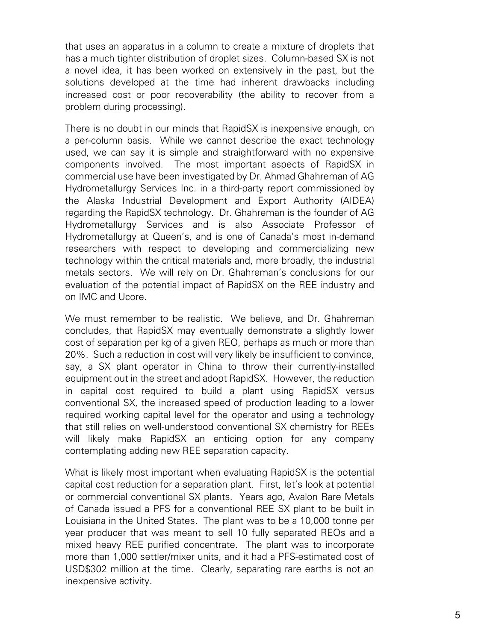that uses an apparatus in a column to create a mixture of droplets that has a much tighter distribution of droplet sizes. Column-based SX is not a novel idea, it has been worked on extensively in the past, but the solutions developed at the time had inherent drawbacks including increased cost or poor recoverability (the ability to recover from a problem during processing).

There is no doubt in our minds that RapidSX is inexpensive enough, on a per-column basis. While we cannot describe the exact technology used, we can say it is simple and straightforward with no expensive components involved. The most important aspects of RapidSX in commercial use have been investigated by Dr. Ahmad Ghahreman of AG Hydrometallurgy Services Inc. in a third-party report commissioned by the Alaska Industrial Development and Export Authority (AIDEA) regarding the RapidSX technology. Dr. Ghahreman is the founder of AG Hydrometallurgy Services and is also Associate Professor of Hydrometallurgy at Queen's, and is one of Canada's most in-demand researchers with respect to developing and commercializing new technology within the critical materials and, more broadly, the industrial metals sectors. We will rely on Dr. Ghahreman's conclusions for our evaluation of the potential impact of RapidSX on the REE industry and on IMC and Ucore.

We must remember to be realistic. We believe, and Dr. Ghahreman concludes, that RapidSX may eventually demonstrate a slightly lower cost of separation per kg of a given REO, perhaps as much or more than 20%. Such a reduction in cost will very likely be insufficient to convince, say, a SX plant operator in China to throw their currently-installed equipment out in the street and adopt RapidSX. However, the reduction in capital cost required to build a plant using RapidSX versus conventional SX, the increased speed of production leading to a lower required working capital level for the operator and using a technology that still relies on well-understood conventional SX chemistry for REEs will likely make RapidSX an enticing option for any company contemplating adding new REE separation capacity.

What is likely most important when evaluating RapidSX is the potential capital cost reduction for a separation plant. First, let's look at potential or commercial conventional SX plants. Years ago, Avalon Rare Metals of Canada issued a PFS for a conventional REE SX plant to be built in Louisiana in the United States. The plant was to be a 10,000 tonne per year producer that was meant to sell 10 fully separated REOs and a mixed heavy REE purified concentrate. The plant was to incorporate more than 1,000 settler/mixer units, and it had a PFS-estimated cost of USD\$302 million at the time. Clearly, separating rare earths is not an inexpensive activity.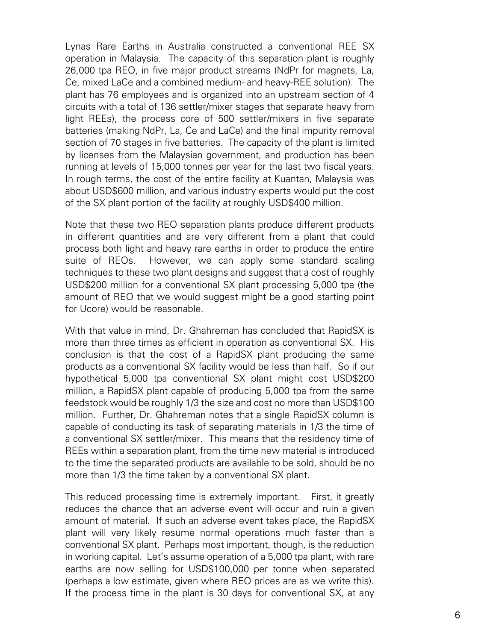Lynas Rare Earths in Australia constructed a conventional REE SX operation in Malaysia. The capacity of this separation plant is roughly 26,000 tpa REO, in five major product streams (NdPr for magnets, La, Ce, mixed LaCe and a combined medium- and heavy-REE solution). The plant has 76 employees and is organized into an upstream section of 4 circuits with a total of 136 settler/mixer stages that separate heavy from light REEs), the process core of 500 settler/mixers in five separate batteries (making NdPr, La, Ce and LaCe) and the final impurity removal section of 70 stages in five batteries. The capacity of the plant is limited by licenses from the Malaysian government, and production has been running at levels of 15,000 tonnes per year for the last two fiscal years. In rough terms, the cost of the entire facility at Kuantan, Malaysia was about USD\$600 million, and various industry experts would put the cost of the SX plant portion of the facility at roughly USD\$400 million.

Note that these two REO separation plants produce different products in different quantities and are very different from a plant that could process both light and heavy rare earths in order to produce the entire suite of REOs. However, we can apply some standard scaling techniques to these two plant designs and suggest that a cost of roughly USD\$200 million for a conventional SX plant processing 5,000 tpa (the amount of REO that we would suggest might be a good starting point for Ucore) would be reasonable.

With that value in mind, Dr. Ghahreman has concluded that RapidSX is more than three times as efficient in operation as conventional SX. His conclusion is that the cost of a RapidSX plant producing the same products as a conventional SX facility would be less than half. So if our hypothetical 5,000 tpa conventional SX plant might cost USD\$200 million, a RapidSX plant capable of producing 5,000 tpa from the same feedstock would be roughly 1/3 the size and cost no more than USD\$100 million. Further, Dr. Ghahreman notes that a single RapidSX column is capable of conducting its task of separating materials in 1/3 the time of a conventional SX settler/mixer. This means that the residency time of REEs within a separation plant, from the time new material is introduced to the time the separated products are available to be sold, should be no more than 1/3 the time taken by a conventional SX plant.

This reduced processing time is extremely important. First, it greatly reduces the chance that an adverse event will occur and ruin a given amount of material. If such an adverse event takes place, the RapidSX plant will very likely resume normal operations much faster than a conventional SX plant. Perhaps most important, though, is the reduction in working capital. Let's assume operation of a 5,000 tpa plant, with rare earths are now selling for USD\$100,000 per tonne when separated (perhaps a low estimate, given where REO prices are as we write this). If the process time in the plant is 30 days for conventional SX, at any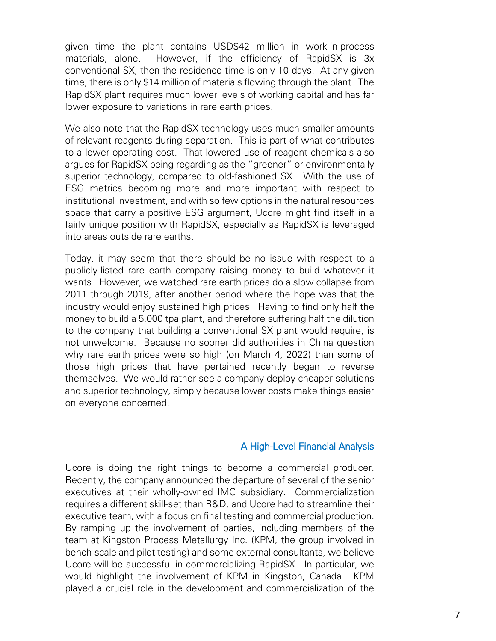given time the plant contains USD\$42 million in work-in-process materials, alone. However, if the efficiency of RapidSX is 3x conventional SX, then the residence time is only 10 days. At any given time, there is only \$14 million of materials flowing through the plant. The RapidSX plant requires much lower levels of working capital and has far lower exposure to variations in rare earth prices.

We also note that the RapidSX technology uses much smaller amounts of relevant reagents during separation. This is part of what contributes to a lower operating cost. That lowered use of reagent chemicals also argues for RapidSX being regarding as the "greener" or environmentally superior technology, compared to old-fashioned SX. With the use of ESG metrics becoming more and more important with respect to institutional investment, and with so few options in the natural resources space that carry a positive ESG argument, Ucore might find itself in a fairly unique position with RapidSX, especially as RapidSX is leveraged into areas outside rare earths.

Today, it may seem that there should be no issue with respect to a publicly-listed rare earth company raising money to build whatever it wants. However, we watched rare earth prices do a slow collapse from 2011 through 2019, after another period where the hope was that the industry would enjoy sustained high prices. Having to find only half the money to build a 5,000 tpa plant, and therefore suffering half the dilution to the company that building a conventional SX plant would require, is not unwelcome. Because no sooner did authorities in China question why rare earth prices were so high (on March 4, 2022) than some of those high prices that have pertained recently began to reverse themselves. We would rather see a company deploy cheaper solutions and superior technology, simply because lower costs make things easier on everyone concerned.

### A High-Level Financial Analysis

Ucore is doing the right things to become a commercial producer. Recently, the company announced the departure of several of the senior executives at their wholly-owned IMC subsidiary. Commercialization requires a different skill-set than R&D, and Ucore had to streamline their executive team, with a focus on final testing and commercial production. By ramping up the involvement of parties, including members of the team at Kingston Process Metallurgy Inc. (KPM, the group involved in bench-scale and pilot testing) and some external consultants, we believe Ucore will be successful in commercializing RapidSX. In particular, we would highlight the involvement of KPM in Kingston, Canada. KPM played a crucial role in the development and commercialization of the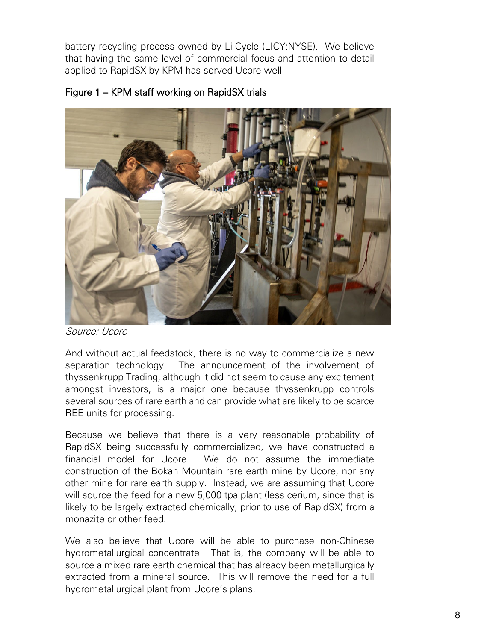battery recycling process owned by Li-Cycle (LICY:NYSE). We believe that having the same level of commercial focus and attention to detail applied to RapidSX by KPM has served Ucore well.



## Figure 1 – KPM staff working on RapidSX trials

Source: Ucore

And without actual feedstock, there is no way to commercialize a new separation technology. The announcement of the involvement of thyssenkrupp Trading, although it did not seem to cause any excitement amongst investors, is a major one because thyssenkrupp controls several sources of rare earth and can provide what are likely to be scarce REE units for processing.

Because we believe that there is a very reasonable probability of RapidSX being successfully commercialized, we have constructed a financial model for Ucore. We do not assume the immediate construction of the Bokan Mountain rare earth mine by Ucore, nor any other mine for rare earth supply. Instead, we are assuming that Ucore will source the feed for a new 5,000 tpa plant (less cerium, since that is likely to be largely extracted chemically, prior to use of RapidSX) from a monazite or other feed.

We also believe that Ucore will be able to purchase non-Chinese hydrometallurgical concentrate. That is, the company will be able to source a mixed rare earth chemical that has already been metallurgically extracted from a mineral source. This will remove the need for a full hydrometallurgical plant from Ucore's plans.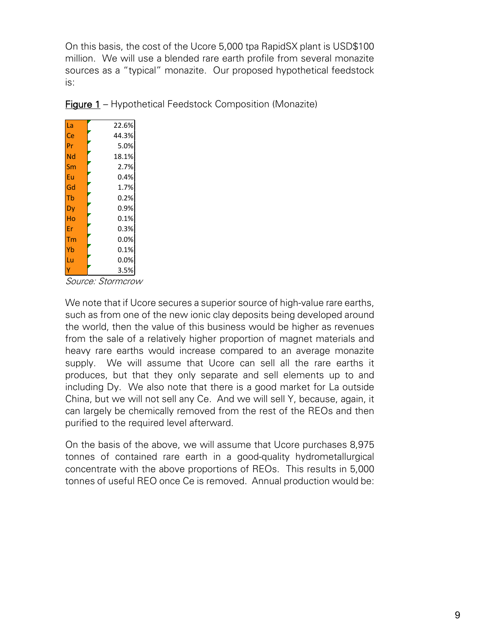On this basis, the cost of the Ucore 5,000 tpa RapidSX plant is USD\$100 million. We will use a blended rare earth profile from several monazite sources as a "typical" monazite. Our proposed hypothetical feedstock is:

|  | <b>Figure 1</b> - Hypothetical Feedstock Composition (Monazite) |  |
|--|-----------------------------------------------------------------|--|
|--|-----------------------------------------------------------------|--|

| La | 22.6% |
|----|-------|
| Ce | 44.3% |
| Pr | 5.0%  |
| Nd | 18.1% |
| Sm | 2.7%  |
| Eu | 0.4%  |
| Gd | 1.7%  |
| Tb | 0.2%  |
| Dy | 0.9%  |
| Ho | 0.1%  |
| Fr | 0.3%  |
| Гm | 0.0%  |
| Yb | 0.1%  |
| Lu | 0.0%  |
|    | 3.5%  |

Source: Stormcrow

We note that if Ucore secures a superior source of high-value rare earths, such as from one of the new ionic clay deposits being developed around the world, then the value of this business would be higher as revenues from the sale of a relatively higher proportion of magnet materials and heavy rare earths would increase compared to an average monazite supply. We will assume that Ucore can sell all the rare earths it produces, but that they only separate and sell elements up to and including Dy. We also note that there is a good market for La outside China, but we will not sell any Ce. And we will sell Y, because, again, it can largely be chemically removed from the rest of the REOs and then purified to the required level afterward.

On the basis of the above, we will assume that Ucore purchases 8,975 tonnes of contained rare earth in a good-quality hydrometallurgical concentrate with the above proportions of REOs. This results in 5,000 tonnes of useful REO once Ce is removed. Annual production would be: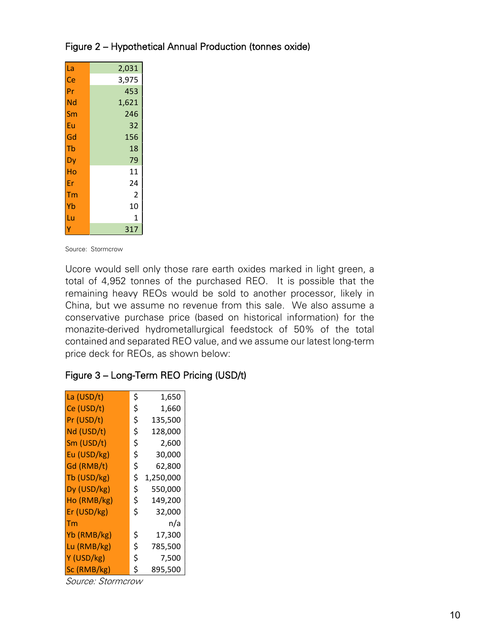| La | 2,031          |
|----|----------------|
| Ce | 3,975          |
| Pr | 453            |
| Nd | 1,621          |
| Sm | 246            |
| Eu | 32             |
| Gd | 156            |
| Tb | 18             |
| Dy | 79             |
| Ho | 11             |
| Er | 24             |
| Тm | $\overline{2}$ |
| Yb | 10             |
| Lu | 1              |
|    | 317            |

## Figure 2 – Hypothetical Annual Production (tonnes oxide)

Source: Stormcrow

Ucore would sell only those rare earth oxides marked in light green, a total of 4,952 tonnes of the purchased REO. It is possible that the remaining heavy REOs would be sold to another processor, likely in China, but we assume no revenue from this sale. We also assume a conservative purchase price (based on historical information) for the monazite-derived hydrometallurgical feedstock of 50% of the total contained and separated REO value, and we assume our latest long-term price deck for REOs, as shown below:

### Figure 3 – Long-Term REO Pricing (USD/t)

| La (USD/t)  | \$<br>1,650     |
|-------------|-----------------|
| Ce (USD/t)  | \$<br>1,660     |
| Pr (USD/t)  | \$<br>135,500   |
| Nd (USD/t)  | \$<br>128,000   |
| Sm (USD/t)  | \$<br>2,600     |
| Eu (USD/kg) | \$<br>30,000    |
| Gd (RMB/t)  | \$<br>62,800    |
| Tb (USD/kg) | \$<br>1,250,000 |
| Dy (USD/kg) | \$<br>550,000   |
| Ho (RMB/kg) | \$<br>149,200   |
| Er (USD/kg) | \$<br>32,000    |
| Tm          | n/a             |
| Yb (RMB/kg) | \$<br>17,300    |
| Lu (RMB/kg) | \$<br>785,500   |
| Y (USD/kg)  | \$<br>7,500     |
| Sc (RMB/kg) | \$<br>895,500   |

Source: Stormcrow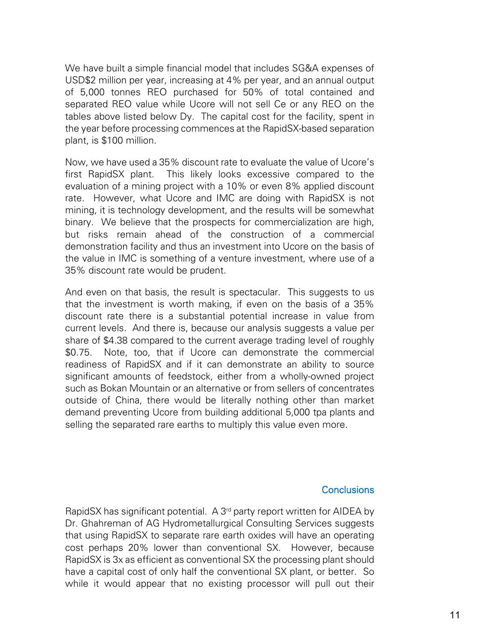We have built a simple financial model that includes SG&A expenses of USD\$2 million per year, increasing at 4% per year, and an annual output of 5,000 tonnes REO purchased for 50% of total contained and separated REO value while Ucore will not sell Ce or any REO on the tables above listed below Dy. The capital cost for the facility, spent in the year before processing commences at the RapidSX-based separation plant, is \$100 million.

Now, we have used a 35% discount rate to evaluate the value of Ucore's first RapidSX plant. This likely looks excessive compared to the evaluation of a mining project with a 10% or even 8% applied discount rate. However, what Ucore and IMC are doing with RapidSX is not mining, it is technology development, and the results will be somewhat binary. We believe that the prospects for commercialization are high, but risks remain ahead of the construction of a commercial demonstration facility and thus an investment into Ucore on the basis of the value in IMC is something of a venture investment, where use of a 35% discount rate would be prudent.

And even on that basis, the result is spectacular. This suggests to us that the investment is worth making, if even on the basis of a 35% discount rate there is a substantial potential increase in value from current levels. And there is, because our analysis suggests a value per share of \$4.38 compared to the current average trading level of roughly \$0.75. Note, too, that if Ucore can demonstrate the commercial readiness of RapidSX and if it can demonstrate an ability to source significant amounts of feedstock, either from a wholly-owned project such as Bokan Mountain or an alternative or from sellers of concentrates outside of China, there would be literally nothing other than market demand preventing Ucore from building additional 5,000 tpa plants and selling the separated rare earths to multiply this value even more.

#### **Conclusions**

RapidSX has significant potential. A 3<sup>rd</sup> party report written for AIDEA by Dr. Ghahreman of AG Hydrometallurgical Consulting Services suggests that using RapidSX to separate rare earth oxides will have an operating cost perhaps 20% lower than conventional SX. However, because RapidSX is 3x as efficient as conventional SX the processing plant should have a capital cost of only half the conventional SX plant, or better. So while it would appear that no existing processor will pull out their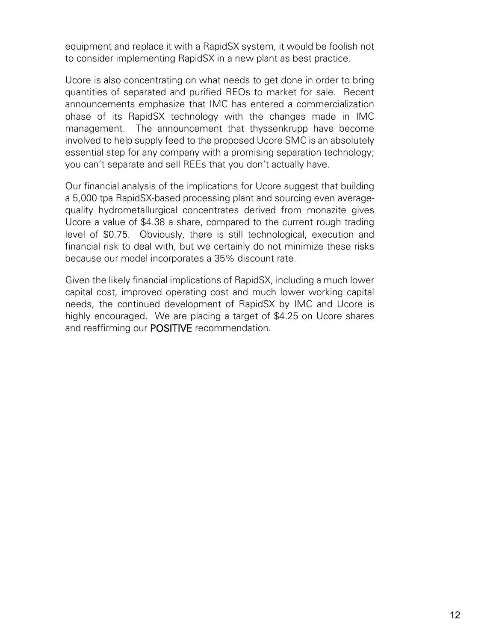equipment and replace it with a RapidSX system, it would be foolish not to consider implementing RapidSX in a new plant as best practice.

Ucore is also concentrating on what needs to get done in order to bring quantities of separated and purified REOs to market for sale. Recent announcements emphasize that IMC has entered a commercialization phase of its RapidSX technology with the changes made in IMC management. The announcement that thyssenkrupp have become involved to help supply feed to the proposed Ucore SMC is an absolutely essential step for any company with a promising separation technology; you can't separate and sell REEs that you don't actually have.

Our financial analysis of the implications for Ucore suggest that building a 5,000 tpa RapidSX-based processing plant and sourcing even averagequality hydrometallurgical concentrates derived from monazite gives Ucore a value of \$4.38 a share, compared to the current rough trading level of \$0.75. Obviously, there is still technological, execution and financial risk to deal with, but we certainly do not minimize these risks because our model incorporates a 35% discount rate.

Given the likely financial implications of RapidSX, including a much lower capital cost, improved operating cost and much lower working capital needs, the continued development of RapidSX by IMC and Ucore is highly encouraged. We are placing a target of \$4.25 on Ucore shares and reaffirming our **POSITIVE** recommendation.